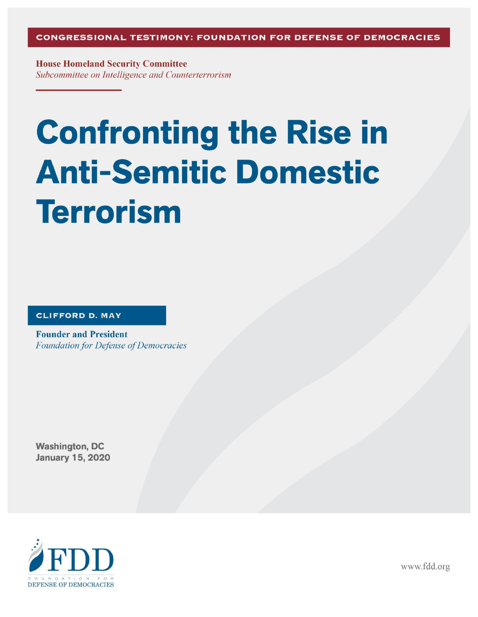**House Homeland Security Committee** Subcommittee on Intelligence and Counterterrorism

# **Confronting the Rise in Anti-Semitic Domestic Terrorism**

**CLIFFORD D. MAY** 

**Founder and President Foundation for Defense of Democracies** 

**Washington, DC January 15, 2020** 



www.fdd.org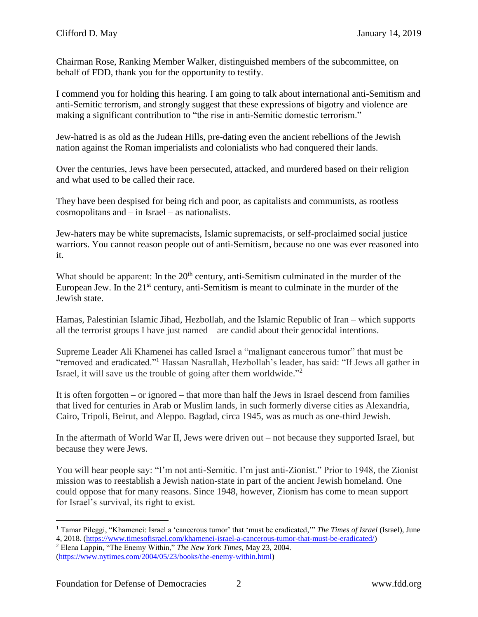Chairman Rose, Ranking Member Walker, distinguished members of the subcommittee, on behalf of FDD, thank you for the opportunity to testify.

I commend you for holding this hearing. I am going to talk about international anti-Semitism and anti-Semitic terrorism, and strongly suggest that these expressions of bigotry and violence are making a significant contribution to "the rise in anti-Semitic domestic terrorism."

Jew-hatred is as old as the Judean Hills, pre-dating even the ancient rebellions of the Jewish nation against the Roman imperialists and colonialists who had conquered their lands.

Over the centuries, Jews have been persecuted, attacked, and murdered based on their religion and what used to be called their race.

They have been despised for being rich and poor, as capitalists and communists, as rootless cosmopolitans and – in Israel – as nationalists.

Jew-haters may be white supremacists, Islamic supremacists, or self-proclaimed social justice warriors. You cannot reason people out of anti-Semitism, because no one was ever reasoned into it.

What should be apparent: In the 20<sup>th</sup> century, anti-Semitism culminated in the murder of the European Jew. In the  $21<sup>st</sup>$  century, anti-Semitism is meant to culminate in the murder of the Jewish state.

Hamas, Palestinian Islamic Jihad, Hezbollah, and the Islamic Republic of Iran – which supports all the terrorist groups I have just named – are candid about their genocidal intentions.

Supreme Leader Ali Khamenei has called Israel a "malignant cancerous tumor" that must be "removed and eradicated."<sup>1</sup> Hassan Nasrallah, Hezbollah's leader, has said: "If Jews all gather in Israel, it will save us the trouble of going after them worldwide."<sup>2</sup>

It is often forgotten – or ignored – that more than half the Jews in Israel descend from families that lived for centuries in Arab or Muslim lands, in such formerly diverse cities as Alexandria, Cairo, Tripoli, Beirut, and Aleppo. Bagdad, circa 1945, was as much as one-third Jewish.

In the aftermath of World War II, Jews were driven out – not because they supported Israel, but because they were Jews.

You will hear people say: "I'm not anti-Semitic. I'm just anti-Zionist." Prior to 1948, the Zionist mission was to reestablish a Jewish nation-state in part of the ancient Jewish homeland. One could oppose that for many reasons. Since 1948, however, Zionism has come to mean support for Israel's survival, its right to exist.

 $\overline{a}$ <sup>1</sup> Tamar Pileggi, "Khamenei: Israel a 'cancerous tumor' that 'must be eradicated,'" *The Times of Israel* (Israel), June 4, 2018. [\(https://www.timesofisrael.com/khamenei-israel-a-cancerous-tumor-that-must-be-eradicated/\)](https://www.timesofisrael.com/khamenei-israel-a-cancerous-tumor-that-must-be-eradicated/)

<sup>2</sup> Elena Lappin, "The Enemy Within," *The New York Times*, May 23, 2004. [\(https://www.nytimes.com/2004/05/23/books/the-enemy-within.html\)](https://www.nytimes.com/2004/05/23/books/the-enemy-within.html)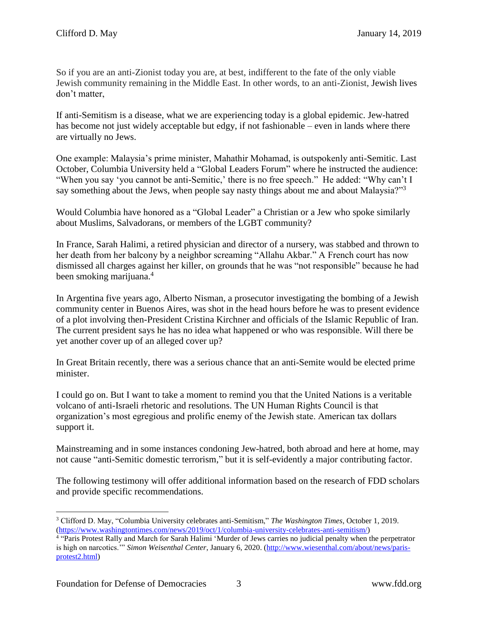So if you are an anti-Zionist today you are, at best, indifferent to the fate of the only viable Jewish community remaining in the Middle East. In other words, to an anti-Zionist, Jewish lives don't matter,

If anti-Semitism is a disease, what we are experiencing today is a global epidemic. Jew-hatred has become not just widely acceptable but edgy, if not fashionable – even in lands where there are virtually no Jews.

One example: Malaysia's prime minister, Mahathir Mohamad, is outspokenly anti-Semitic. Last October, Columbia University held a "Global Leaders Forum" where he instructed the audience: "When you say 'you cannot be anti-Semitic,' there is no free speech." He added: "Why can't I say something about the Jews, when people say nasty things about me and about Malaysia?"<sup>3</sup>

Would Columbia have honored as a "Global Leader" a Christian or a Jew who spoke similarly about Muslims, Salvadorans, or members of the LGBT community?

In France, Sarah Halimi, a retired physician and director of a nursery, was stabbed and thrown to her death from her balcony by a neighbor screaming "Allahu Akbar." A French court has now dismissed all charges against her killer, on grounds that he was "not responsible" because he had been smoking marijuana.<sup>4</sup>

In Argentina five years ago, Alberto Nisman, a prosecutor investigating the bombing of a Jewish community center in Buenos Aires, was shot in the head hours before he was to present evidence of a plot involving then-President Cristina Kirchner and officials of the Islamic Republic of Iran. The current president says he has no idea what happened or who was responsible. Will there be yet another cover up of an alleged cover up?

In Great Britain recently, there was a serious chance that an anti-Semite would be elected prime minister.

I could go on. But I want to take a moment to remind you that the United Nations is a veritable volcano of anti-Israeli rhetoric and resolutions. The UN Human Rights Council is that organization's most egregious and prolific enemy of the Jewish state. American tax dollars support it.

Mainstreaming and in some instances condoning Jew-hatred, both abroad and here at home, may not cause "anti-Semitic domestic terrorism," but it is self-evidently a major contributing factor.

The following testimony will offer additional information based on the research of FDD scholars and provide specific recommendations.

 $\overline{a}$ <sup>3</sup> Clifford D. May, "Columbia University celebrates anti-Semitism," *The Washington Times*, October 1, 2019. [\(https://www.washingtontimes.com/news/2019/oct/1/columbia-university-celebrates-anti-semitism/\)](https://www.washingtontimes.com/news/2019/oct/1/columbia-university-celebrates-anti-semitism/)

<sup>4</sup> "Paris Protest Rally and March for Sarah Halimi 'Murder of Jews carries no judicial penalty when the perpetrator is high on narcotics.'" *Simon Weisenthal Center*, January 6, 2020. [\(http://www.wiesenthal.com/about/news/paris](http://www.wiesenthal.com/about/news/paris-protest2.html)[protest2.html\)](http://www.wiesenthal.com/about/news/paris-protest2.html)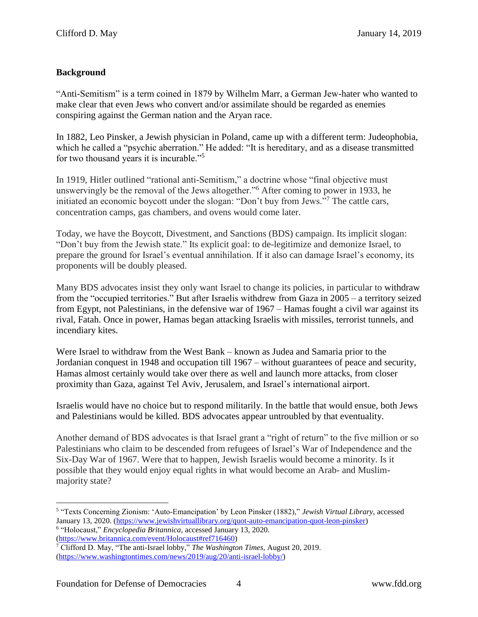# **Background**

"Anti-Semitism" is a term coined in 1879 by Wilhelm Marr, a German Jew-hater who wanted to make clear that even Jews who convert and/or assimilate should be regarded as enemies conspiring against the German nation and the Aryan race.

In 1882, Leo Pinsker, a Jewish physician in Poland, came up with a different term: Judeophobia, which he called a "psychic aberration." He added: "It is hereditary, and as a disease transmitted for two thousand years it is incurable."<sup>5</sup>

In 1919, Hitler outlined "rational anti-Semitism," a doctrine whose "final objective must unswervingly be the removal of the Jews altogether."<sup>6</sup> After coming to power in 1933, he initiated an economic boycott under the slogan: "Don't buy from Jews."<sup>7</sup> The cattle cars, concentration camps, gas chambers, and ovens would come later.

Today, we have the Boycott, Divestment, and Sanctions (BDS) campaign. Its implicit slogan: "Don't buy from the Jewish state." Its explicit goal: to de-legitimize and demonize Israel, to prepare the ground for Israel's eventual annihilation. If it also can damage Israel's economy, its proponents will be doubly pleased.

Many BDS advocates insist they only want Israel to change its policies, in particular to withdraw from the "occupied territories." But after Israelis withdrew from Gaza in 2005 – a territory seized from Egypt, not Palestinians, in the defensive war of 1967 – Hamas fought a civil war against its rival, Fatah. Once in power, Hamas began attacking Israelis with missiles, terrorist tunnels, and incendiary kites.

Were Israel to withdraw from the West Bank – known as Judea and Samaria prior to the Jordanian conquest in 1948 and occupation till 1967 – without guarantees of peace and security, Hamas almost certainly would take over there as well and launch more attacks, from closer proximity than Gaza, against Tel Aviv, Jerusalem, and Israel's international airport.

Israelis would have no choice but to respond militarily. In the battle that would ensue, both Jews and Palestinians would be killed. BDS advocates appear untroubled by that eventuality.

Another demand of BDS advocates is that Israel grant a "right of return" to the five million or so Palestinians who claim to be descended from refugees of Israel's War of Independence and the Six-Day War of 1967. Were that to happen, Jewish Israelis would become a minority. Is it possible that they would enjoy equal rights in what would become an Arab- and Muslimmajority state?

[\(https://www.britannica.com/event/Holocaust#ref716460\)](https://www.britannica.com/event/Holocaust#ref716460)

<sup>5</sup> "Texts Concerning Zionism: 'Auto-Emancipation' by Leon Pinsker (1882)," *Jewish Virtual Library*, accessed January 13, 2020. [\(https://www.jewishvirtuallibrary.org/quot-auto-emancipation-quot-leon-pinsker\)](https://www.jewishvirtuallibrary.org/quot-auto-emancipation-quot-leon-pinsker) 6 "Holocaust," *Encyclopedia Britannica*, accessed January 13, 2020.

<sup>7</sup> Clifford D. May, "The anti-Israel lobby," *The Washington Times*, August 20, 2019. [\(https://www.washingtontimes.com/news/2019/aug/20/anti-israel-lobby/\)](https://www.washingtontimes.com/news/2019/aug/20/anti-israel-lobby/)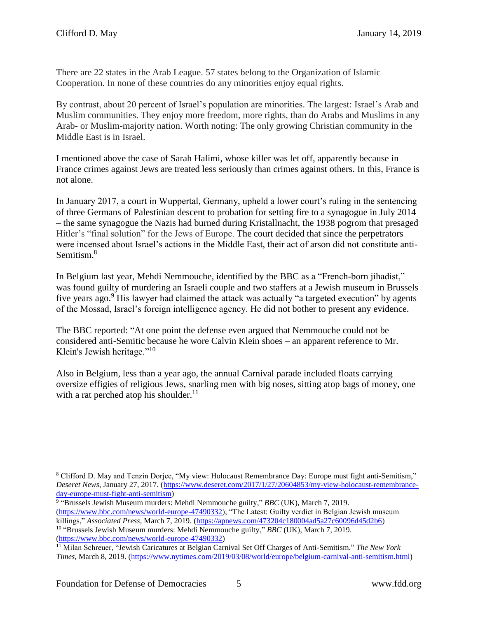There are 22 states in the Arab League. 57 states belong to the Organization of Islamic Cooperation. In none of these countries do any minorities enjoy equal rights.

By contrast, about 20 percent of Israel's population are minorities. The largest: Israel's Arab and Muslim communities. They enjoy more freedom, more rights, than do Arabs and Muslims in any Arab- or Muslim-majority nation. Worth noting: The only growing Christian community in the Middle East is in Israel.

I mentioned above the case of Sarah Halimi, whose killer was let off, apparently because in France crimes against Jews are treated less seriously than crimes against others. In this, France is not alone.

In January 2017, a court in Wuppertal, Germany, upheld a lower court's ruling in the sentencing of three Germans of Palestinian descent to probation for setting fire to a synagogue in July 2014 – the same synagogue the Nazis had burned during Kristallnacht, the 1938 pogrom that presaged Hitler's "final solution" for the Jews of Europe. The court decided that since the perpetrators were incensed about Israel's actions in the Middle East, their act of arson did not constitute anti-Semitism.<sup>8</sup>

In Belgium last year, Mehdi Nemmouche, identified by the BBC as a "French-born jihadist," was found guilty of murdering an Israeli couple and two staffers at a Jewish museum in Brussels five years ago.<sup>9</sup> His lawyer had claimed the attack was actually "a targeted execution" by agents of the Mossad, Israel's foreign intelligence agency. He did not bother to present any evidence.

The BBC reported: "At one point the defense even argued that Nemmouche could not be considered anti-Semitic because he wore Calvin Klein shoes – an apparent reference to Mr. Klein's Jewish heritage."<sup>10</sup>

Also in Belgium, less than a year ago, the annual Carnival parade included floats carrying oversize effigies of religious Jews, snarling men with big noses, sitting atop bags of money, one with a rat perched atop his shoulder.<sup>11</sup>

 $\overline{a}$ <sup>8</sup> Clifford D. May and Tenzin Dorjee, "My view: Holocaust Remembrance Day: Europe must fight anti-Semitism," *Deseret News*, January 27, 2017. [\(https://www.deseret.com/2017/1/27/20604853/my-view-holocaust-remembrance](https://www.deseret.com/2017/1/27/20604853/my-view-holocaust-remembrance-day-europe-must-fight-anti-semitism)[day-europe-must-fight-anti-semitism\)](https://www.deseret.com/2017/1/27/20604853/my-view-holocaust-remembrance-day-europe-must-fight-anti-semitism)

<sup>9</sup> "Brussels Jewish Museum murders: Mehdi Nemmouche guilty," *BBC* (UK), March 7, 2019. [\(https://www.bbc.com/news/world-europe-47490332\)](https://www.bbc.com/news/world-europe-47490332); "The Latest: Guilty verdict in Belgian Jewish museum killings," *Associated Press*, March 7, 2019. [\(https://apnews.com/473204c180004ad5a27c60096d45d2b6\)](https://apnews.com/473204c180004ad5a27c60096d45d2b6) 10 "Brussels Jewish Museum murders: Mehdi Nemmouche guilty," *BBC* (UK), March 7, 2019. [\(https://www.bbc.com/news/world-europe-47490332\)](https://www.bbc.com/news/world-europe-47490332)

<sup>11</sup> Milan Schreuer, "Jewish Caricatures at Belgian Carnival Set Off Charges of Anti-Semitism," *The New York Times*, March 8, 2019. [\(https://www.nytimes.com/2019/03/08/world/europe/belgium-carnival-anti-semitism.html\)](https://www.nytimes.com/2019/03/08/world/europe/belgium-carnival-anti-semitism.html)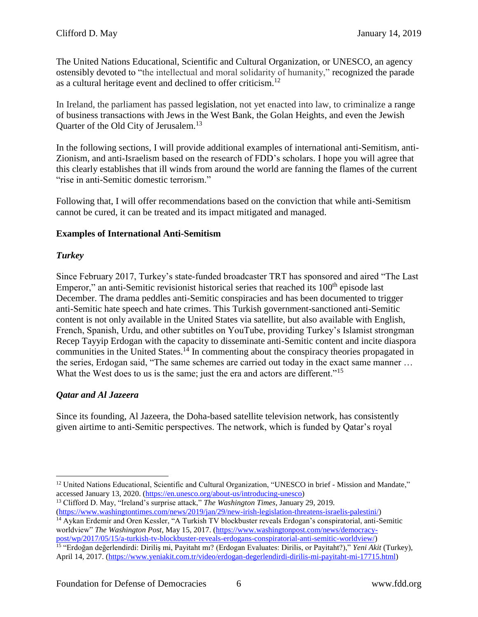The United Nations Educational, Scientific and Cultural Organization, or UNESCO, an agency ostensibly devoted to "the intellectual and moral solidarity of humanity," recognized the parade as a cultural heritage event and declined to offer criticism.<sup>12</sup>

In Ireland, the parliament has passed legislation, not yet enacted into law, to criminalize a range of business transactions with Jews in the West Bank, the Golan Heights, and even the Jewish Quarter of the Old City of Jerusalem.<sup>13</sup>

In the following sections, I will provide additional examples of international anti-Semitism, anti-Zionism, and anti-Israelism based on the research of FDD's scholars. I hope you will agree that this clearly establishes that ill winds from around the world are fanning the flames of the current "rise in anti-Semitic domestic terrorism."

Following that, I will offer recommendations based on the conviction that while anti-Semitism cannot be cured, it can be treated and its impact mitigated and managed.

#### **Examples of International Anti-Semitism**

# *Turkey*

Since February 2017, Turkey's state-funded broadcaster TRT has sponsored and aired "The Last Emperor," an anti-Semitic revisionist historical series that reached its 100<sup>th</sup> episode last December. The drama peddles anti-Semitic conspiracies and has been documented to trigger anti-Semitic hate speech and hate crimes. This Turkish government-sanctioned anti-Semitic content is not only available in the United States via satellite, but also available with English, French, Spanish, Urdu, and other subtitles on YouTube, providing Turkey's Islamist strongman Recep Tayyip Erdogan with the capacity to disseminate anti-Semitic content and incite diaspora communities in the United States.<sup>14</sup> In commenting about the conspiracy theories propagated in the series, Erdogan said, "The same schemes are carried out today in the exact same manner … What the West does to us is the same; just the era and actors are different."<sup>15</sup>

# *Qatar and Al Jazeera*

Since its founding, Al Jazeera, the Doha-based satellite television network, has consistently given airtime to anti-Semitic perspectives. The network, which is funded by Qatar's royal

<sup>13</sup> Clifford D. May, "Ireland's surprise attack," *The Washington Times*, January 29, 2019. [\(https://www.washingtontimes.com/news/2019/jan/29/new-irish-legislation-threatens-israelis-palestini/\)](https://www.washingtontimes.com/news/2019/jan/29/new-irish-legislation-threatens-israelis-palestini/)

<sup>14</sup> Aykan Erdemir and Oren Kessler, "A Turkish TV blockbuster reveals Erdogan's conspiratorial, anti-Semitic worldview" *The Washington Post*, May 15, 2017. [\(https://www.washingtonpost.com/news/democracy](https://www.washingtonpost.com/news/democracy-post/wp/2017/05/15/a-turkish-tv-blockbuster-reveals-erdogans-conspiratorial-anti-semitic-worldview/)[post/wp/2017/05/15/a-turkish-tv-blockbuster-reveals-erdogans-conspiratorial-anti-semitic-worldview/\)](https://www.washingtonpost.com/news/democracy-post/wp/2017/05/15/a-turkish-tv-blockbuster-reveals-erdogans-conspiratorial-anti-semitic-worldview/)

 $\overline{a}$ <sup>12</sup> United Nations Educational, Scientific and Cultural Organization, "UNESCO in brief - Mission and Mandate," accessed January 13, 2020. [\(https://en.unesco.org/about-us/introducing-unesco\)](https://en.unesco.org/about-us/introducing-unesco)

<sup>15</sup> "Erdoğan değerlendirdi: Diriliş mi, Payitaht mı? (Erdogan Evaluates: Dirilis, or Payitaht?)," *Yeni Akit* (Turkey), April 14, 2017. [\(https://www.yeniakit.com.tr/video/erdogan-degerlendirdi-dirilis-mi-payitaht-mi-17715.html\)](https://www.yeniakit.com.tr/video/erdogan-degerlendirdi-dirilis-mi-payitaht-mi-17715.html)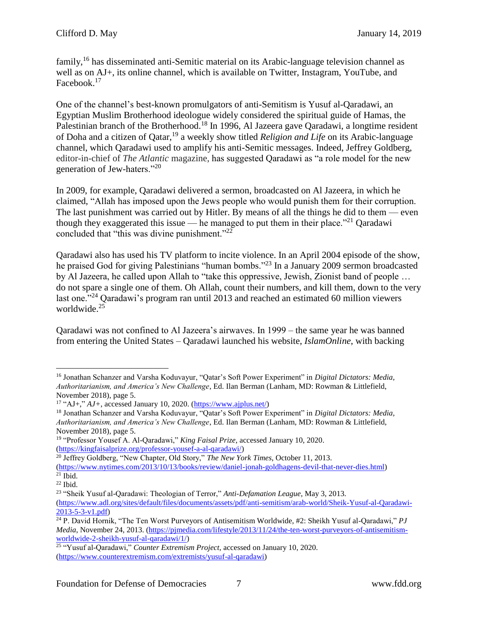family,<sup>16</sup> has disseminated anti-Semitic material on its Arabic-language television channel as well as on AJ+, its online channel, which is available on Twitter, Instagram, YouTube, and Facebook.<sup>17</sup>

One of the channel's best-known promulgators of anti-Semitism is Yusuf al-Qaradawi, an Egyptian Muslim Brotherhood ideologue widely considered the spiritual guide of Hamas, the Palestinian branch of the Brotherhood.<sup>18</sup> In 1996, Al Jazeera gave Qaradawi, a longtime resident of Doha and a citizen of Qatar, <sup>19</sup> a weekly show titled *Religion and Life* on its Arabic-language channel, which Qaradawi used to amplify his anti-Semitic messages. Indeed, Jeffrey Goldberg, editor-in-chief of *The Atlantic* magazine, has suggested Qaradawi as "a role model for the new generation of Jew-haters."<sup>20</sup>

In 2009, for example, Qaradawi delivered a sermon, broadcasted on Al Jazeera, in which he claimed, "Allah has imposed upon the Jews people who would punish them for their corruption. The last punishment was carried out by Hitler. By means of all the things he did to them — even though they exaggerated this issue — he managed to put them in their place.<sup>"21</sup> Qaradawi concluded that "this was divine punishment."<sup>22</sup>

Qaradawi also has used his TV platform to incite violence. In an April 2004 episode of the show, he praised God for giving Palestinians "human bombs."<sup>23</sup> In a January 2009 sermon broadcasted by Al Jazeera, he called upon Allah to "take this oppressive, Jewish, Zionist band of people … do not spare a single one of them. Oh Allah, count their numbers, and kill them, down to the very last one."<sup>24</sup> Oaradawi's program ran until 2013 and reached an estimated 60 million viewers worldwide.<sup>25</sup>

Qaradawi was not confined to Al Jazeera's airwaves. In 1999 – the same year he was banned from entering the United States – Qaradawi launched his website, *IslamOnline*, with backing

 $\overline{a}$ <sup>16</sup> Jonathan Schanzer and Varsha Koduvayur, "Qatar's Soft Power Experiment" in *Digital Dictators: Media, Authoritarianism, and America's New Challenge*, Ed. Ilan Berman (Lanham, MD: Rowman & Littlefield, November 2018), page 5.

<sup>&</sup>lt;sup>17</sup> "AJ+,"  $AJ$ +, accessed January 10, 2020. [\(https://www.ajplus.net/\)](https://www.ajplus.net/)

<sup>18</sup> Jonathan Schanzer and Varsha Koduvayur, "Qatar's Soft Power Experiment" in *Digital Dictators: Media, Authoritarianism, and America's New Challenge*, Ed. Ilan Berman (Lanham, MD: Rowman & Littlefield, November 2018), page 5.

<sup>19</sup> "Professor Yousef A. Al-Qaradawi," *King Faisal Prize*, accessed January 10, 2020. [\(https://kingfaisalprize.org/professor-yousef-a-al-qaradawi/\)](https://kingfaisalprize.org/professor-yousef-a-al-qaradawi/)

<sup>20</sup> Jeffrey Goldberg, "New Chapter, Old Story," *The New York Times*, October 11, 2013.

[<sup>\(</sup>https://www.nytimes.com/2013/10/13/books/review/daniel-jonah-goldhagens-devil-that-never-dies.html\)](https://www.nytimes.com/2013/10/13/books/review/daniel-jonah-goldhagens-devil-that-never-dies.html)  $21$  Ibid.

 $22$  Ibid.

<sup>23</sup> "Sheik Yusuf al-Qaradawi: Theologian of Terror," *Anti-Defamation League*, May 3, 2013.

[<sup>\(</sup>https://www.adl.org/sites/default/files/documents/assets/pdf/anti-semitism/arab-world/Sheik-Yusuf-al-Qaradawi-](https://www.adl.org/sites/default/files/documents/assets/pdf/anti-semitism/arab-world/Sheik-Yusuf-al-Qaradawi-2013-5-3-v1.pdf)[2013-5-3-v1.pdf\)](https://www.adl.org/sites/default/files/documents/assets/pdf/anti-semitism/arab-world/Sheik-Yusuf-al-Qaradawi-2013-5-3-v1.pdf)

<sup>24</sup> P. David Hornik, "The Ten Worst Purveyors of Antisemitism Worldwide, #2: Sheikh Yusuf al-Qaradawi," *PJ Media*, November 24, 2013. [\(https://pjmedia.com/lifestyle/2013/11/24/the-ten-worst-purveyors-of-antisemitism](https://pjmedia.com/lifestyle/2013/11/24/the-ten-worst-purveyors-of-antisemitism-worldwide-2-sheikh-yusuf-al-qaradawi/1/)[worldwide-2-sheikh-yusuf-al-qaradawi/1/\)](https://pjmedia.com/lifestyle/2013/11/24/the-ten-worst-purveyors-of-antisemitism-worldwide-2-sheikh-yusuf-al-qaradawi/1/)

<sup>25</sup> "Yusuf al-Qaradawi," *Counter Extremism Project,* accessed on January 10, 2020. [\(https://www.counterextremism.com/extremists/yusuf-al-qaradawi\)](https://www.counterextremism.com/extremists/yusuf-al-qaradawi)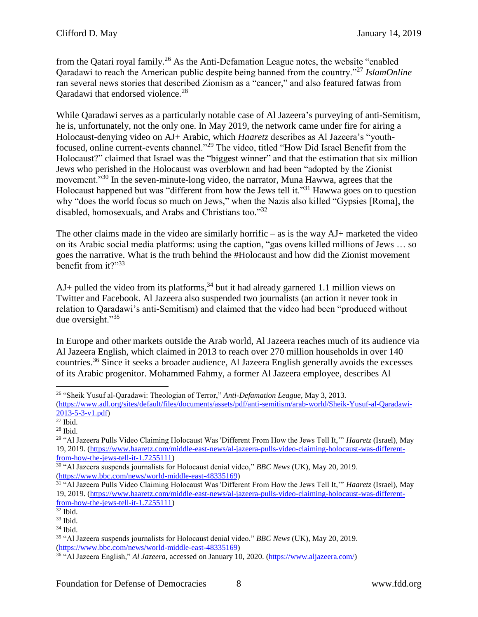from the Qatari royal family.<sup>26</sup> As the Anti-Defamation League notes, the website "enabled Qaradawi to reach the American public despite being banned from the country."<sup>27</sup> *IslamOnline* ran several news stories that described Zionism as a "cancer," and also featured fatwas from Qaradawi that endorsed violence.<sup>28</sup>

While Qaradawi serves as a particularly notable case of Al Jazeera's purveying of anti-Semitism, he is, unfortunately, not the only one. In May 2019, the network came under fire for airing a Holocaust-denying video on AJ+ Arabic, which *Haaretz* describes as Al Jazeera's "youthfocused, online current-events channel."<sup>29</sup> The video, titled "How Did Israel Benefit from the Holocaust?" claimed that Israel was the "biggest winner" and that the estimation that six million Jews who perished in the Holocaust was overblown and had been "adopted by the Zionist movement."<sup>30</sup> In the seven-minute-long video, the narrator, Muna Hawwa, agrees that the Holocaust happened but was "different from how the Jews tell it."<sup>31</sup> Hawwa goes on to question why "does the world focus so much on Jews," when the Nazis also killed "Gypsies [Roma], the disabled, homosexuals, and Arabs and Christians too."<sup>32</sup>

The other claims made in the video are similarly horrific – as is the way  $AJ$ + marketed the video on its Arabic social media platforms: using the caption, "gas ovens killed millions of Jews … so goes the narrative. What is the truth behind the #Holocaust and how did the Zionist movement benefit from it?"<sup>33</sup>

 $AJ+$  pulled the video from its platforms,<sup>34</sup> but it had already garnered 1.1 million views on Twitter and Facebook. Al Jazeera also suspended two journalists (an action it never took in relation to Qaradawi's anti-Semitism) and claimed that the video had been "produced without due oversight."<sup>35</sup>

In Europe and other markets outside the Arab world, Al Jazeera reaches much of its audience via Al Jazeera English, which claimed in 2013 to reach over 270 million households in over 140 countries.<sup>36</sup> Since it seeks a broader audience, Al Jazeera English generally avoids the excesses of its Arabic progenitor. Mohammed Fahmy, a former Al Jazeera employee, describes Al

<sup>26</sup> "Sheik Yusuf al-Qaradawi: Theologian of Terror," *Anti-Defamation League*, May 3, 2013. [\(https://www.adl.org/sites/default/files/documents/assets/pdf/anti-semitism/arab-world/Sheik-Yusuf-al-Qaradawi-](https://www.adl.org/sites/default/files/documents/assets/pdf/anti-semitism/arab-world/Sheik-Yusuf-al-Qaradawi-2013-5-3-v1.pdf)[2013-5-3-v1.pdf\)](https://www.adl.org/sites/default/files/documents/assets/pdf/anti-semitism/arab-world/Sheik-Yusuf-al-Qaradawi-2013-5-3-v1.pdf)

 $\overline{^{27}$  Ibid.

 $28$  Ibid.

<sup>29</sup> "Al Jazeera Pulls Video Claiming Holocaust Was 'Different From How the Jews Tell It,'" *Haaretz* (Israel), May 19, 2019. [\(https://www.haaretz.com/middle-east-news/al-jazeera-pulls-video-claiming-holocaust-was-different](https://www.haaretz.com/middle-east-news/al-jazeera-pulls-video-claiming-holocaust-was-different-from-how-the-jews-tell-it-1.7255111)[from-how-the-jews-tell-it-1.7255111\)](https://www.haaretz.com/middle-east-news/al-jazeera-pulls-video-claiming-holocaust-was-different-from-how-the-jews-tell-it-1.7255111)

<sup>30</sup> "Al Jazeera suspends journalists for Holocaust denial video," *BBC News* (UK), May 20, 2019. [\(https://www.bbc.com/news/world-middle-east-48335169\)](https://www.bbc.com/news/world-middle-east-48335169)

<sup>31</sup> "Al Jazeera Pulls Video Claiming Holocaust Was 'Different From How the Jews Tell It,'" *Haaretz* (Israel), May 19, 2019. [\(https://www.haaretz.com/middle-east-news/al-jazeera-pulls-video-claiming-holocaust-was-different](https://www.haaretz.com/middle-east-news/al-jazeera-pulls-video-claiming-holocaust-was-different-from-how-the-jews-tell-it-1.7255111)[from-how-the-jews-tell-it-1.7255111\)](https://www.haaretz.com/middle-east-news/al-jazeera-pulls-video-claiming-holocaust-was-different-from-how-the-jews-tell-it-1.7255111)

 $32$  Ibid.

<sup>33</sup> Ibid.

 $34$  Ibid.

<sup>35</sup> "Al Jazeera suspends journalists for Holocaust denial video," *BBC News* (UK), May 20, 2019. [\(https://www.bbc.com/news/world-middle-east-48335169\)](https://www.bbc.com/news/world-middle-east-48335169)

<sup>36</sup> "Al Jazeera English," *Al Jazeera*, accessed on January 10, 2020. [\(https://www.aljazeera.com/\)](https://www.aljazeera.com/)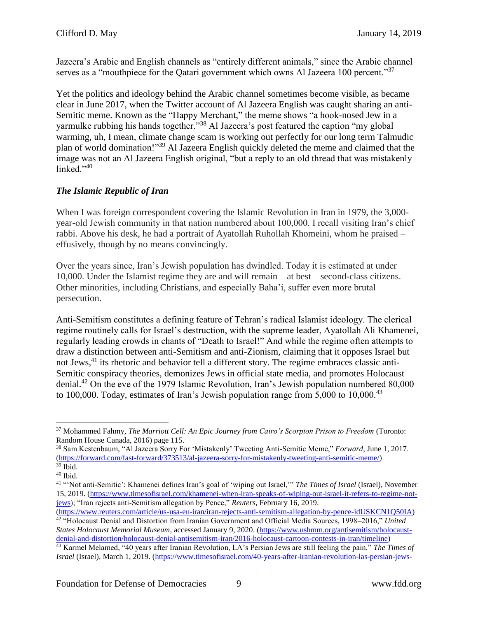Jazeera's Arabic and English channels as "entirely different animals," since the Arabic channel serves as a "mouthpiece for the Qatari government which owns Al Jazeera 100 percent."<sup>37</sup>

Yet the politics and ideology behind the Arabic channel sometimes become visible, as became clear in June 2017, when the Twitter account of Al Jazeera English was caught sharing an anti-Semitic meme. Known as the "Happy Merchant," the meme shows "a hook-nosed Jew in a yarmulke rubbing his hands together."<sup>38</sup> Al Jazeera's post featured the caption "my global" warming, uh, I mean, climate change scam is working out perfectly for our long term Talmudic plan of world domination!"<sup>39</sup> Al Jazeera English quickly deleted the meme and claimed that the image was not an Al Jazeera English original, "but a reply to an old thread that was mistakenly linked."<sup>40</sup>

# *The Islamic Republic of Iran*

When I was foreign correspondent covering the Islamic Revolution in Iran in 1979, the 3,000year-old Jewish community in that nation numbered about 100,000. I recall visiting Iran's chief rabbi. Above his desk, he had a portrait of Ayatollah Ruhollah Khomeini, whom he praised – effusively, though by no means convincingly.

Over the years since, Iran's Jewish population has dwindled. Today it is estimated at under 10,000. Under the Islamist regime they are and will remain – at best – second-class citizens. Other minorities, including Christians, and especially Baha'i, suffer even more brutal persecution.

Anti-Semitism constitutes a defining feature of Tehran's radical Islamist ideology. The clerical regime routinely calls for Israel's destruction, with the supreme leader, Ayatollah Ali Khamenei, regularly leading crowds in chants of "Death to Israel!" And while the regime often attempts to draw a distinction between anti-Semitism and anti-Zionism, claiming that it opposes Israel but not Jews,<sup>41</sup> its rhetoric and behavior tell a different story. The regime embraces classic anti-Semitic conspiracy theories, demonizes Jews in official state media, and promotes Holocaust denial.<sup>42</sup> On the eve of the 1979 Islamic Revolution, Iran's Jewish population numbered 80,000 to 100,000. Today, estimates of Iran's Jewish population range from  $5,000$  to  $10,000$ .<sup>43</sup>

 $\overline{a}$ <sup>37</sup> Mohammed Fahmy, *The Marriott Cell: An Epic Journey from Cairo's Scorpion Prison to Freedom* (Toronto: Random House Canada, 2016) page 115.

<sup>38</sup> Sam Kestenbaum, "Al Jazeera Sorry For 'Mistakenly' Tweeting Anti-Semitic Meme," *Forward*, June 1, 2017. [\(https://forward.com/fast-forward/373513/al-jazeera-sorry-for-mistakenly-tweeting-anti-semitic-meme/\)](https://forward.com/fast-forward/373513/al-jazeera-sorry-for-mistakenly-tweeting-anti-semitic-meme/) <sup>39</sup> Ibid.

<sup>40</sup> Ibid.

<sup>41</sup> "'Not anti-Semitic': Khamenei defines Iran's goal of 'wiping out Israel,'" *The Times of Israel* (Israel), November 15, 2019. [\(https://www.timesofisrael.com/khamenei-when-iran-speaks-of-wiping-out-israel-it-refers-to-regime-not](https://www.timesofisrael.com/khamenei-when-iran-speaks-of-wiping-out-israel-it-refers-to-regime-not-jews/)[jews\)](https://www.timesofisrael.com/khamenei-when-iran-speaks-of-wiping-out-israel-it-refers-to-regime-not-jews/); "Iran rejects anti-Semitism allegation by Pence," *Reuters*, February 16, 2019.

[<sup>\(</sup>https://www.reuters.com/article/us-usa-eu-iran/iran-rejects-anti-semitism-allegation-by-pence-idUSKCN1Q50IA\)](https://www.reuters.com/article/us-usa-eu-iran/iran-rejects-anti-semitism-allegation-by-pence-idUSKCN1Q50IA) <sup>42</sup> "Holocaust Denial and Distortion from Iranian Government and Official Media Sources, 1998–2016," *United States Holocaust Memorial Museum*, accessed January 9, 2020. [\(https://www.ushmm.org/antisemitism/holocaust](https://www.ushmm.org/antisemitism/holocaust-denial-and-distortion/holocaust-denial-antisemitism-iran/2016-holocaust-cartoon-contests-in-iran/timeline)[denial-and-distortion/holocaust-denial-antisemitism-iran/2016-holocaust-cartoon-contests-in-iran/timeline\)](https://www.ushmm.org/antisemitism/holocaust-denial-and-distortion/holocaust-denial-antisemitism-iran/2016-holocaust-cartoon-contests-in-iran/timeline)

<sup>43</sup> Karmel Melamed, "40 years after Iranian Revolution, LA's Persian Jews are still feeling the pain," *The Times of Israel* (Israel), March 1, 2019. [\(https://www.timesofisrael.com/40-years-after-iranian-revolution-las-persian-jews-](https://www.timesofisrael.com/40-years-after-iranian-revolution-las-persian-jews-are-still-feeling-the-pain/)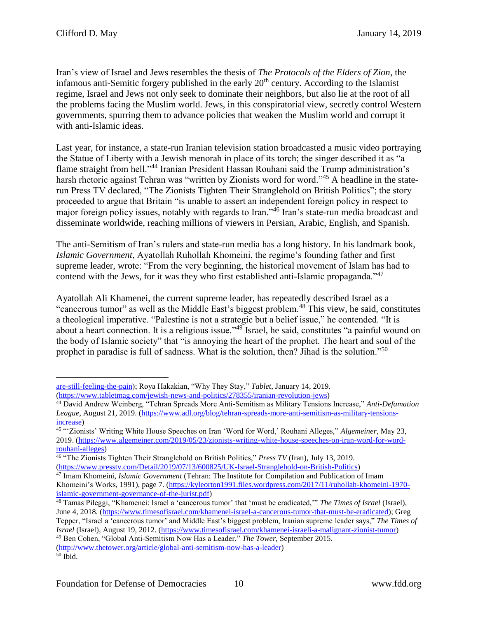Iran's view of Israel and Jews resembles the thesis of *The Protocols of the Elders of Zion*, the infamous anti-Semitic forgery published in the early  $20<sup>th</sup>$  century. According to the Islamist regime, Israel and Jews not only seek to dominate their neighbors, but also lie at the root of all the problems facing the Muslim world. Jews, in this conspiratorial view, secretly control Western governments, spurring them to advance policies that weaken the Muslim world and corrupt it with anti-Islamic ideas.

Last year, for instance, a state-run Iranian television station broadcasted a music video portraying the Statue of Liberty with a Jewish menorah in place of its torch; the singer described it as "a flame straight from hell."<sup>44</sup> Iranian President Hassan Rouhani said the Trump administration's harsh rhetoric against Tehran was "written by Zionists word for word."<sup>45</sup> A headline in the staterun Press TV declared, "The Zionists Tighten Their Stranglehold on British Politics"; the story proceeded to argue that Britain "is unable to assert an independent foreign policy in respect to major foreign policy issues, notably with regards to Iran."<sup>46</sup> Iran's state-run media broadcast and disseminate worldwide, reaching millions of viewers in Persian, Arabic, English, and Spanish.

The anti-Semitism of Iran's rulers and state-run media has a long history. In his landmark book, *Islamic Government*, Ayatollah Ruhollah Khomeini, the regime's founding father and first supreme leader, wrote: "From the very beginning, the historical movement of Islam has had to contend with the Jews, for it was they who first established anti-Islamic propaganda."<sup>47</sup>

Ayatollah Ali Khamenei, the current supreme leader, has repeatedly described Israel as a "cancerous tumor" as well as the Middle East's biggest problem.<sup>48</sup> This view, he said, constitutes a theological imperative. "Palestine is not a strategic but a belief issue," he contended. "It is about a heart connection. It is a religious issue."<sup>49</sup> Israel, he said, constitutes "a painful wound on the body of Islamic society" that "is annoying the heart of the prophet. The heart and soul of the prophet in paradise is full of sadness. What is the solution, then? Jihad is the solution."<sup>50</sup>

[are-still-feeling-the-pain\)](https://www.timesofisrael.com/40-years-after-iranian-revolution-las-persian-jews-are-still-feeling-the-pain/); Roya Hakakian, "Why They Stay," *Tablet*, January 14, 2019. [\(https://www.tabletmag.com/jewish-news-and-politics/278355/iranian-revolution-jews\)](https://www.tabletmag.com/jewish-news-and-politics/278355/iranian-revolution-jews)

<sup>44</sup> David Andrew Weinberg, "Tehran Spreads More Anti-Semitism as Military Tensions Increase," *Anti-Defamation League*, August 21, 2019. [\(https://www.adl.org/blog/tehran-spreads-more-anti-semitism-as-military-tensions](https://www.adl.org/blog/tehran-spreads-more-anti-semitism-as-military-tensions-increase)[increase\)](https://www.adl.org/blog/tehran-spreads-more-anti-semitism-as-military-tensions-increase)

<sup>45</sup> "'Zionists' Writing White House Speeches on Iran 'Word for Word,' Rouhani Alleges," *Algemeiner*, May 23, 2019. [\(https://www.algemeiner.com/2019/05/23/zionists-writing-white-house-speeches-on-iran-word-for-word](https://www.algemeiner.com/2019/05/23/zionists-writing-white-house-speeches-on-iran-word-for-word-rouhani-alleges/)[rouhani-alleges\)](https://www.algemeiner.com/2019/05/23/zionists-writing-white-house-speeches-on-iran-word-for-word-rouhani-alleges/)

<sup>46</sup> "The Zionists Tighten Their Stranglehold on British Politics," *Press TV* (Iran), July 13, 2019. [\(https://www.presstv.com/Detail/2019/07/13/600825/UK-Israel-Stranglehold-on-British-Politics\)](https://www.presstv.com/Detail/2019/07/13/600825/UK-Israel-Stranglehold-on-British-Politics)

<sup>47</sup> Imam Khomeini, *Islamic Government* (Tehran: The Institute for Compilation and Publication of Imam Khomeini's Works, 1991), page 7. [\(https://kyleorton1991.files.wordpress.com/2017/11/ruhollah-khomeini-1970](https://kyleorton1991.files.wordpress.com/2017/11/ruhollah-khomeini-1970-islamic-government-governance-of-the-jurist.pdf) [islamic-government-governance-of-the-jurist.pdf\)](https://kyleorton1991.files.wordpress.com/2017/11/ruhollah-khomeini-1970-islamic-government-governance-of-the-jurist.pdf)

<sup>48</sup> Tamas Pileggi, "Khamenei: Israel a 'cancerous tumor' that 'must be eradicated,'" *The Times of Israel* (Israel), June 4, 2018. [\(https://www.timesofisrael.com/khamenei-israel-a-cancerous-tumor-that-must-be-eradicated\)](https://www.timesofisrael.com/khamenei-israel-a-cancerous-tumor-that-must-be-eradicated/); Greg Tepper, "Israel a 'cancerous tumor' and Middle East's biggest problem, Iranian supreme leader says," *The Times of Israel* (Israel), August 19, 2012. [\(https://www.timesofisrael.com/khamenei-israeli-a-malignant-zionist-tumor\)](https://www.timesofisrael.com/khamenei-israeli-a-malignant-zionist-tumor/) <sup>49</sup> Ben Cohen, "Global Anti-Semitism Now Has a Leader," *The Tower*, September 2015. [\(http://www.thetower.org/article/global-anti-semitism-now-has-a-leader\)](http://www.thetower.org/article/global-anti-semitism-now-has-a-leader/)

<sup>50</sup> Ibid.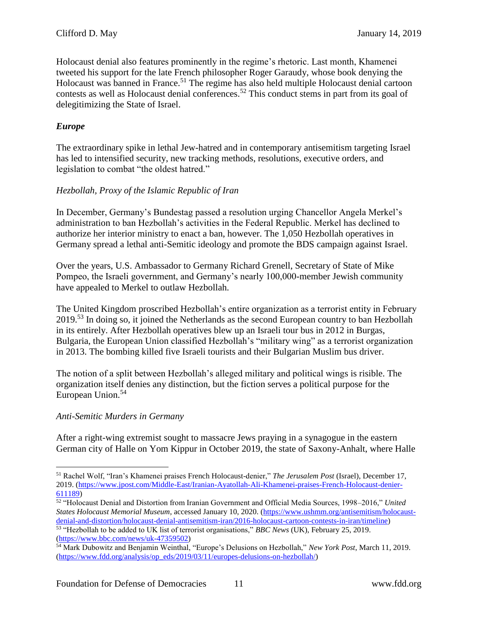Holocaust denial also features prominently in the regime's rhetoric. Last month, Khamenei tweeted his support for the late French philosopher Roger Garaudy, whose book denying the Holocaust was banned in France.<sup>51</sup> The regime has also held multiple Holocaust denial cartoon contests as well as Holocaust denial conferences.<sup>52</sup> This conduct stems in part from its goal of delegitimizing the State of Israel.

# *Europe*

The extraordinary spike in lethal Jew-hatred and in contemporary antisemitism targeting Israel has led to intensified security, new tracking methods, resolutions, executive orders, and legislation to combat "the oldest hatred."

# *Hezbollah, Proxy of the Islamic Republic of Iran*

In December, Germany's Bundestag passed a resolution urging Chancellor Angela Merkel's administration to ban Hezbollah's activities in the Federal Republic. Merkel has declined to authorize her interior ministry to enact a ban, however. The 1,050 Hezbollah operatives in Germany spread a lethal anti-Semitic ideology and promote the BDS campaign against Israel.

Over the years, U.S. Ambassador to Germany Richard Grenell, Secretary of State of Mike Pompeo, the Israeli government, and Germany's nearly 100,000-member Jewish community have appealed to Merkel to outlaw Hezbollah.

The United Kingdom proscribed Hezbollah's entire organization as a terrorist entity in February 2019.<sup>53</sup> In doing so, it joined the Netherlands as the second European country to ban Hezbollah in its entirely. After Hezbollah operatives blew up an Israeli tour bus in 2012 in Burgas, Bulgaria, the European Union classified Hezbollah's "military wing" as a terrorist organization in 2013. The bombing killed five Israeli tourists and their Bulgarian Muslim bus driver.

The notion of a split between Hezbollah's alleged military and political wings is risible. The organization itself denies any distinction, but the fiction serves a political purpose for the European Union. 54

# *Anti-Semitic Murders in Germany*

After a right-wing extremist sought to massacre Jews praying in a synagogue in the eastern German city of Halle on Yom Kippur in October 2019, the state of Saxony-Anhalt, where Halle

 $\overline{a}$ <sup>51</sup> Rachel Wolf, "Iran's Khamenei praises French Holocaust-denier," *The Jerusalem Post* (Israel), December 17, 2019. [\(https://www.jpost.com/Middle-East/Iranian-Ayatollah-Ali-Khamenei-praises-French-Holocaust-denier-](https://www.jpost.com/Middle-East/Iranian-Ayatollah-Ali-Khamenei-praises-French-Holocaust-denier-611189)[611189\)](https://www.jpost.com/Middle-East/Iranian-Ayatollah-Ali-Khamenei-praises-French-Holocaust-denier-611189)

<sup>52</sup> "Holocaust Denial and Distortion from Iranian Government and Official Media Sources, 1998–2016," *United States Holocaust Memorial Museum*, accessed January 10, 2020. [\(https://www.ushmm.org/antisemitism/holocaust](https://www.ushmm.org/antisemitism/holocaust-denial-and-distortion/holocaust-denial-antisemitism-iran/2016-holocaust-cartoon-contests-in-iran/timeline)[denial-and-distortion/holocaust-denial-antisemitism-iran/2016-holocaust-cartoon-contests-in-iran/timeline\)](https://www.ushmm.org/antisemitism/holocaust-denial-and-distortion/holocaust-denial-antisemitism-iran/2016-holocaust-cartoon-contests-in-iran/timeline) <sup>53</sup> "Hezbollah to be added to UK list of terrorist organisations," *BBC News* (UK), February 25, 2019. [\(https://www.bbc.com/news/uk-47359502\)](https://www.bbc.com/news/uk-47359502)

<sup>54</sup> Mark Dubowitz and Benjamin Weinthal, "Europe's Delusions on Hezbollah," *New York Post*, March 11, 2019. [\(https://www.fdd.org/analysis/op\\_eds/2019/03/11/europes-delusions-on-hezbollah/\)](https://www.fdd.org/analysis/op_eds/2019/03/11/europes-delusions-on-hezbollah/)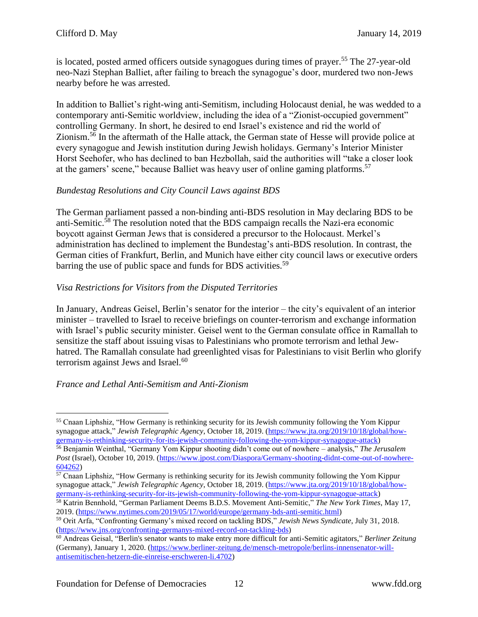is located, posted armed officers outside synagogues during times of prayer.<sup>55</sup> The 27-year-old neo-Nazi Stephan Balliet, after failing to breach the synagogue's door, murdered two non-Jews nearby before he was arrested.

In addition to Balliet's right-wing anti-Semitism, including Holocaust denial, he was wedded to a contemporary anti-Semitic worldview, including the idea of a "Zionist-occupied government" controlling Germany. In short, he desired to end Israel's existence and rid the world of Zionism. $5\overline{6}$  In the aftermath of the Halle attack, the German state of Hesse will provide police at every synagogue and Jewish institution during Jewish holidays. Germany's Interior Minister Horst Seehofer, who has declined to ban Hezbollah, said the authorities will "take a closer look at the gamers' scene," because Balliet was heavy user of online gaming platforms.<sup>57</sup>

#### *Bundestag Resolutions and City Council Laws against BDS*

The German parliament passed a non-binding anti-BDS resolution in May declaring BDS to be anti-Semitic.<sup>58</sup> The resolution noted that the BDS campaign recalls the Nazi-era economic boycott against German Jews that is considered a precursor to the Holocaust. Merkel's administration has declined to implement the Bundestag's anti-BDS resolution. In contrast, the German cities of Frankfurt, Berlin, and Munich have either city council laws or executive orders barring the use of public space and funds for BDS activities.<sup>59</sup>

# *Visa Restrictions for Visitors from the Disputed Territories*

In January, Andreas Geisel, Berlin's senator for the interior – the city's equivalent of an interior minister – travelled to Israel to receive briefings on counter-terrorism and exchange information with Israel's public security minister. Geisel went to the German consulate office in Ramallah to sensitize the staff about issuing visas to Palestinians who promote terrorism and lethal Jewhatred. The Ramallah consulate had greenlighted visas for Palestinians to visit Berlin who glorify terrorism against Jews and Israel.<sup>60</sup>

# *France and Lethal Anti-Semitism and Anti-Zionism*

 $\overline{a}$ <sup>55</sup> Cnaan Liphshiz, "How Germany is rethinking security for its Jewish community following the Yom Kippur synagogue attack," *Jewish Telegraphic Agency*, October 18, 2019. [\(https://www.jta.org/2019/10/18/global/how](https://www.jta.org/2019/10/18/global/how-germany-is-rethinking-security-for-its-jewish-community-following-the-yom-kippur-synagogue-attack)[germany-is-rethinking-security-for-its-jewish-community-following-the-yom-kippur-synagogue-attack\)](https://www.jta.org/2019/10/18/global/how-germany-is-rethinking-security-for-its-jewish-community-following-the-yom-kippur-synagogue-attack)

<sup>56</sup> Benjamin Weinthal, "Germany Yom Kippur shooting didn't come out of nowhere – analysis," *The Jerusalem Post* (Israel), October 10, 2019. [\(https://www.jpost.com/Diaspora/Germany-shooting-didnt-come-out-of-nowhere-](https://www.jpost.com/Diaspora/Germany-shooting-didnt-come-out-of-nowhere-604262)[604262\)](https://www.jpost.com/Diaspora/Germany-shooting-didnt-come-out-of-nowhere-604262)

<sup>&</sup>lt;sup>57</sup> Cnaan Liphshiz, "How Germany is rethinking security for its Jewish community following the Yom Kippur synagogue attack," *Jewish Telegraphic Agency*, October 18, 2019. [\(https://www.jta.org/2019/10/18/global/how](https://www.jta.org/2019/10/18/global/how-germany-is-rethinking-security-for-its-jewish-community-following-the-yom-kippur-synagogue-attack)[germany-is-rethinking-security-for-its-jewish-community-following-the-yom-kippur-synagogue-attack\)](https://www.jta.org/2019/10/18/global/how-germany-is-rethinking-security-for-its-jewish-community-following-the-yom-kippur-synagogue-attack)

<sup>58</sup> Katrin Bennhold, "German Parliament Deems B.D.S. Movement Anti-Semitic," *The New York Times*, May 17, 2019. [\(https://www.nytimes.com/2019/05/17/world/europe/germany-bds-anti-semitic.html\)](https://www.nytimes.com/2019/05/17/world/europe/germany-bds-anti-semitic.html)

<sup>59</sup> Orit Arfa, "Confronting Germany's mixed record on tackling BDS," *Jewish News Syndicate*, July 31, 2018. [\(https://www.jns.org/confronting-germanys-mixed-record-on-tackling-bds\)](https://www.jns.org/confronting-germanys-mixed-record-on-tackling-bds/)

<sup>60</sup> Andreas Geisal, "Berlin's senator wants to make entry more difficult for anti-Semitic agitators," *Berliner Zeitung*  (Germany), January 1, 2020. [\(https://www.berliner-zeitung.de/mensch-metropole/berlins-innensenator-will](https://www.berliner-zeitung.de/mensch-metropole/berlins-innensenator-will-antisemitischen-hetzern-die-einreise-erschweren-li.4702)[antisemitischen-hetzern-die-einreise-erschweren-li.4702\)](https://www.berliner-zeitung.de/mensch-metropole/berlins-innensenator-will-antisemitischen-hetzern-die-einreise-erschweren-li.4702)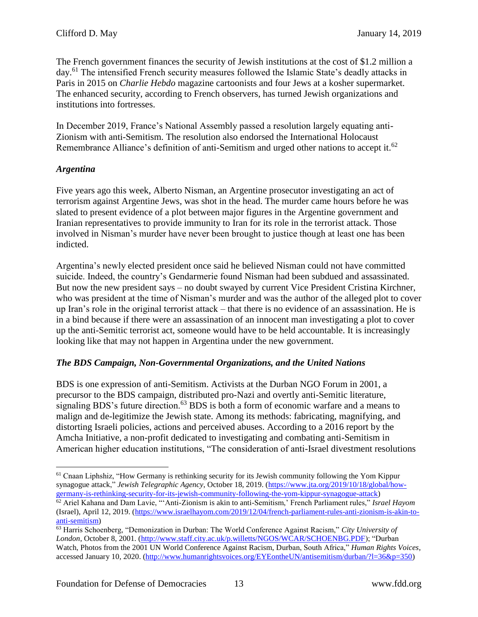The French government finances the security of Jewish institutions at the cost of \$1.2 million a day.<sup>61</sup> The intensified French security measures followed the Islamic State's deadly attacks in Paris in 2015 on *Charlie Hebdo* magazine cartoonists and four Jews at a kosher supermarket. The enhanced security, according to French observers, has turned Jewish organizations and institutions into fortresses.

In December 2019, France's National Assembly passed a resolution largely equating anti-Zionism with anti-Semitism. The resolution also endorsed the International Holocaust Remembrance Alliance's definition of anti-Semitism and urged other nations to accept it.<sup>62</sup>

# *Argentina*

Five years ago this week, Alberto Nisman, an Argentine prosecutor investigating an act of terrorism against Argentine Jews, was shot in the head. The murder came hours before he was slated to present evidence of a plot between major figures in the Argentine government and Iranian representatives to provide immunity to Iran for its role in the terrorist attack. Those involved in Nisman's murder have never been brought to justice though at least one has been indicted.

Argentina's newly elected president once said he believed Nisman could not have committed suicide. Indeed, the country's Gendarmerie found Nisman had been subdued and assassinated. But now the new president says – no doubt swayed by current Vice President Cristina Kirchner, who was president at the time of Nisman's murder and was the author of the alleged plot to cover up Iran's role in the original terrorist attack – that there is no evidence of an assassination. He is in a bind because if there were an assassination of an innocent man investigating a plot to cover up the anti-Semitic terrorist act, someone would have to be held accountable. It is increasingly looking like that may not happen in Argentina under the new government.

# *The BDS Campaign, Non-Governmental Organizations, and the United Nations*

BDS is one expression of anti-Semitism. Activists at the Durban NGO Forum in 2001, a precursor to the BDS campaign, distributed pro-Nazi and overtly anti-Semitic literature, signaling BDS's future direction.<sup>63</sup> BDS is both a form of economic warfare and a means to malign and de-legitimize the Jewish state. Among its methods: fabricating, magnifying, and distorting Israeli policies, actions and perceived abuses. According to a 2016 report by the Amcha Initiative, a non-profit dedicated to investigating and combating anti-Semitism in American higher education institutions, "The consideration of anti-Israel divestment resolutions

 $\overline{a}$ <sup>61</sup> Cnaan Liphshiz, "How Germany is rethinking security for its Jewish community following the Yom Kippur synagogue attack," *Jewish Telegraphic Agency*, October 18, 2019. [\(https://www.jta.org/2019/10/18/global/how](https://www.jta.org/2019/10/18/global/how-germany-is-rethinking-security-for-its-jewish-community-following-the-yom-kippur-synagogue-attack)[germany-is-rethinking-security-for-its-jewish-community-following-the-yom-kippur-synagogue-attack\)](https://www.jta.org/2019/10/18/global/how-germany-is-rethinking-security-for-its-jewish-community-following-the-yom-kippur-synagogue-attack)

<sup>62</sup> Ariel Kahana and Dam Lavie, "'Anti-Zionism is akin to anti-Semitism,' French Parliament rules," *Israel Hayom*  (Israel), April 12, 2019. [\(https://www.israelhayom.com/2019/12/04/french-parliament-rules-anti-zionism-is-akin-to](https://www.israelhayom.com/2019/12/04/french-parliament-rules-anti-zionism-is-akin-to-anti-semitism/)[anti-semitism\)](https://www.israelhayom.com/2019/12/04/french-parliament-rules-anti-zionism-is-akin-to-anti-semitism/)

<sup>63</sup> Harris Schoenberg, "Demonization in Durban: The World Conference Against Racism," *City University of London*, October 8, 2001. [\(http://www.staff.city.ac.uk/p.willetts/NGOS/WCAR/SCHOENBG.PDF\)](http://www.staff.city.ac.uk/p.willetts/NGOS/WCAR/SCHOENBG.PDF); "Durban Watch, Photos from the 2001 UN World Conference Against Racism, Durban, South Africa," *Human Rights Voices*, accessed January 10, 2020. [\(http://www.humanrightsvoices.org/EYEontheUN/antisemitism/durban/?l=36&p=350\)](http://www.humanrightsvoices.org/EYEontheUN/antisemitism/durban/?l=36&p=350)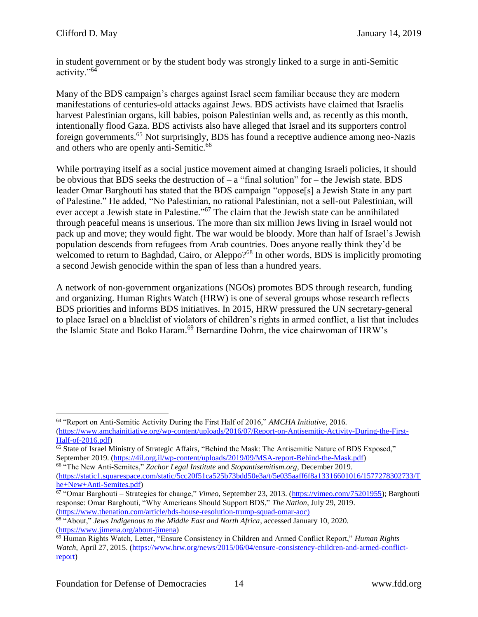$\overline{a}$ 

in student government or by the student body was strongly linked to a surge in anti-Semitic activity."<sup>64</sup>

Many of the BDS campaign's charges against Israel seem familiar because they are modern manifestations of centuries-old attacks against Jews. BDS activists have claimed that Israelis harvest Palestinian organs, kill babies, poison Palestinian wells and, as recently as this month, intentionally flood Gaza. BDS activists also have alleged that Israel and its supporters control foreign governments.<sup>65</sup> Not surprisingly, BDS has found a receptive audience among neo-Nazis and others who are openly anti-Semitic.<sup>66</sup>

While portraying itself as a social justice movement aimed at changing Israeli policies, it should be obvious that BDS seeks the destruction of  $-$  a "final solution" for  $-$  the Jewish state. BDS leader Omar Barghouti has stated that the BDS campaign "oppose[s] a Jewish State in any part of Palestine." He added, "No Palestinian, no rational Palestinian, not a sell-out Palestinian, will ever accept a Jewish state in Palestine."<sup>67</sup> The claim that the Jewish state can be annihilated through peaceful means is unserious. The more than six million Jews living in Israel would not pack up and move; they would fight. The war would be bloody. More than half of Israel's Jewish population descends from refugees from Arab countries. Does anyone really think they'd be welcomed to return to Baghdad, Cairo, or Aleppo?<sup>68</sup> In other words, BDS is implicitly promoting a second Jewish genocide within the span of less than a hundred years.

A network of non-government organizations (NGOs) promotes BDS through research, funding and organizing. Human Rights Watch (HRW) is one of several groups whose research reflects BDS priorities and informs BDS initiatives. In 2015, HRW pressured the UN secretary-general to place Israel on a blacklist of violators of children's rights in armed conflict, a list that includes the Islamic State and Boko Haram.<sup>69</sup> Bernardine Dohrn, the vice chairwoman of HRW's

<sup>64</sup> "Report on Anti-Semitic Activity During the First Half of 2016," *AMCHA Initiative*, 2016. [\(https://www.amchainitiative.org/wp-content/uploads/2016/07/Report-on-Antisemitic-Activity-During-the-First-](https://www.amchainitiative.org/wp-content/uploads/2016/07/Report-on-Antisemitic-Activity-During-the-First-Half-of-2016.pdf)[Half-of-2016.pdf\)](https://www.amchainitiative.org/wp-content/uploads/2016/07/Report-on-Antisemitic-Activity-During-the-First-Half-of-2016.pdf)

<sup>65</sup> State of Israel Ministry of Strategic Affairs, "Behind the Mask: The Antisemitic Nature of BDS Exposed," September 2019. [\(https://4il.org.il/wp-content/uploads/2019/09/MSA-report-Behind-the-Mask.pdf\)](https://4il.org.il/wp-content/uploads/2019/09/MSA-report-Behind-the-Mask.pdf)

<sup>66</sup> "The New Anti-Semites," *Zachor Legal Institute* and *Stopantisemitism.org*, December 2019. [\(https://static1.squarespace.com/static/5cc20f51ca525b73bdd50e3a/t/5e035aaff6f8a13316601016/1577278302733/T](https://static1.squarespace.com/static/5cc20f51ca525b73bdd50e3a/t/5e035aaff6f8a13316601016/1577278302733/The+New+Anti-Semites.pdf) [he+New+Anti-Semites.pdf\)](https://static1.squarespace.com/static/5cc20f51ca525b73bdd50e3a/t/5e035aaff6f8a13316601016/1577278302733/The+New+Anti-Semites.pdf)

<sup>67</sup> "Omar Barghouti – Strategies for change," *Vimeo*, September 23, 2013. [\(https://vimeo.com/75201955\)](https://vimeo.com/75201955); Barghouti response: Omar Barghouti, "Why Americans Should Support BDS," *The Nation*, July 29, 2019. [\(https://www.thenation.com/article/bds-house-resolution-trump-squad-omar-aoc\)](https://www.thenation.com/article/bds-house-resolution-trump-squad-omar-aoc/)

<sup>68</sup> "About," *Jews Indigenous to the Middle East and North Africa*, accessed January 10, 2020. [\(https://www.jimena.org/about-jimena\)](https://www.jimena.org/about-jimena)

<sup>69</sup> Human Rights Watch, Letter, "Ensure Consistency in Children and Armed Conflict Report," *Human Rights Watch*, April 27, 2015. [\(https://www.hrw.org/news/2015/06/04/ensure-consistency-children-and-armed-conflict](https://www.hrw.org/news/2015/06/04/ensure-consistency-children-and-armed-conflict-report)[report\)](https://www.hrw.org/news/2015/06/04/ensure-consistency-children-and-armed-conflict-report)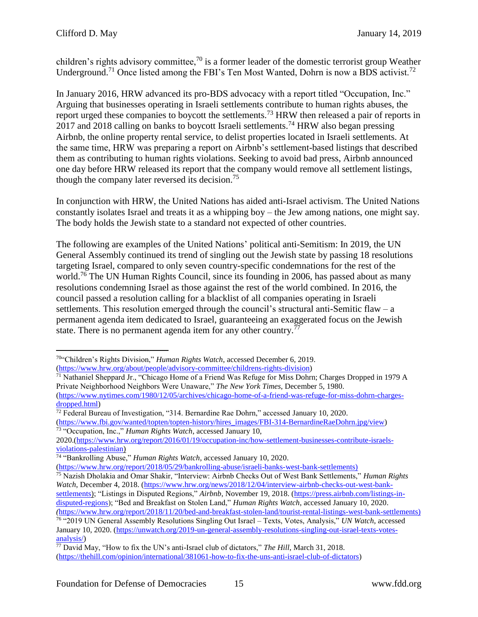children's rights advisory committee,<sup>70</sup> is a former leader of the domestic terrorist group Weather Underground.<sup>71</sup> Once listed among the FBI's Ten Most Wanted, Dohrn is now a BDS activist.<sup>72</sup>

In January 2016, HRW advanced its pro-BDS advocacy with a report titled "Occupation, Inc." Arguing that businesses operating in Israeli settlements contribute to human rights abuses, the report urged these companies to boycott the settlements.<sup>73</sup> HRW then released a pair of reports in  $2017$  and 2018 calling on banks to boycott Israeli settlements.<sup>74</sup> HRW also began pressing Airbnb, the online property rental service, to delist properties located in Israeli settlements. At the same time, HRW was preparing a report on Airbnb's settlement-based listings that described them as contributing to human rights violations. Seeking to avoid bad press, Airbnb announced one day before HRW released its report that the company would remove all settlement listings, though the company later reversed its decision.<sup>75</sup>

In conjunction with HRW, the United Nations has aided anti-Israel activism. The United Nations constantly isolates Israel and treats it as a whipping boy – the Jew among nations, one might say. The body holds the Jewish state to a standard not expected of other countries.

The following are examples of the United Nations' political anti-Semitism: In 2019, the UN General Assembly continued its trend of singling out the Jewish state by passing 18 resolutions targeting Israel, compared to only seven country-specific condemnations for the rest of the world.<sup>76</sup> The UN Human Rights Council, since its founding in 2006, has passed about as many resolutions condemning Israel as those against the rest of the world combined. In 2016, the council passed a resolution calling for a blacklist of all companies operating in Israeli settlements. This resolution emerged through the council's structural anti-Semitic flaw – a permanent agenda item dedicated to Israel, guaranteeing an exaggerated focus on the Jewish state. There is no permanent agenda item for any other country.<sup>77</sup>

<sup>70</sup>"Children's Rights Division," *Human Rights Watch*, accessed December 6, 2019. [\(https://www.hrw.org/about/people/advisory-committee/childrens-rights-division\)](https://www.hrw.org/about/people/advisory-committee/childrens-rights-division)

<sup>&</sup>lt;sup>71</sup> Nathaniel Sheppard Jr., "Chicago Home of a Friend Was Refuge for Miss Dohrn; Charges Dropped in 1979 A Private Neighborhood Neighbors Were Unaware," *The New York Times*, December 5, 1980. [\(https://www.nytimes.com/1980/12/05/archives/chicago-home-of-a-friend-was-refuge-for-miss-dohrn-charges-](https://www.nytimes.com/1980/12/05/archives/chicago-home-of-a-friend-was-refuge-for-miss-dohrn-charges-dropped.html)

[dropped.html\)](https://www.nytimes.com/1980/12/05/archives/chicago-home-of-a-friend-was-refuge-for-miss-dohrn-charges-dropped.html)

<sup>&</sup>lt;sup>72</sup> Federal Bureau of Investigation, "314. Bernardine Rae Dohrn," accessed January 10, 2020. [\(https://www.fbi.gov/wanted/topten/topten-history/hires\\_images/FBI-314-BernardineRaeDohrn.jpg/view\)](https://www.fbi.gov/wanted/topten/topten-history/hires_images/FBI-314-BernardineRaeDohrn.jpg/view) <sup>73</sup> "Occupation, Inc.," *Human Rights Watch*, accessed January 10,

<sup>2020.</sup>[\(https://www.hrw.org/report/2016/01/19/occupation-inc/how-settlement-businesses-contribute-israels](https://www.hrw.org/report/2016/01/19/occupation-inc/how-settlement-businesses-contribute-israels-violations-palestinian)[violations-palestinian\)](https://www.hrw.org/report/2016/01/19/occupation-inc/how-settlement-businesses-contribute-israels-violations-palestinian)

<sup>74</sup> "Bankrolling Abuse," *Human Rights Watch*, accessed January 10, 2020.

[<sup>\(</sup>https://www.hrw.org/report/2018/05/29/bankrolling-abuse/israeli-banks-west-bank-settlements\)](https://www.hrw.org/report/2018/05/29/bankrolling-abuse/israeli-banks-west-bank-settlements)

<sup>75</sup> Nazish Dholakia and Omar Shakir, "Interview: Airbnb Checks Out of West Bank Settlements," *Human Rights Watch*, December 4, 2018. [\(https://www.hrw.org/news/2018/12/04/interview-airbnb-checks-out-west-bank](https://www.hrw.org/news/2018/12/04/interview-airbnb-checks-out-west-bank-settlements)[settlements\)](https://www.hrw.org/news/2018/12/04/interview-airbnb-checks-out-west-bank-settlements); "Listings in Disputed Regions," Airbnb, November 19, 2018. [\(https://press.airbnb.com/listings-in-](https://press.airbnb.com/listings-in-disputed-regions/)

[disputed-regions\)](https://press.airbnb.com/listings-in-disputed-regions/); "Bed and Breakfast on Stolen Land," *Human Rights Watch*, accessed January 10, 2020. *(*[https://www.hrw.org/report/2018/11/20/bed-and-breakfast-stolen-land/tourist-rental-listings-west-bank-settlements\)](https://www.hrw.org/report/2018/11/20/bed-and-breakfast-stolen-land/tourist-rental-listings-west-bank-settlements)

<sup>76</sup> "2019 UN General Assembly Resolutions Singling Out Israel – Texts, Votes, Analysis," *UN Watch*, accessed January 10, 2020. [\(https://unwatch.org/2019-un-general-assembly-resolutions-singling-out-israel-texts-votes](https://unwatch.org/2019-un-general-assembly-resolutions-singling-out-israel-texts-votes-analysis/)[analysis/\)](https://unwatch.org/2019-un-general-assembly-resolutions-singling-out-israel-texts-votes-analysis/)

<sup>77</sup> David May, "How to fix the UN's anti-Israel club of dictators," *The Hill*, March 31, 2018. [\(https://thehill.com/opinion/international/381061-how-to-fix-the-uns-anti-israel-club-of-dictators\)](https://thehill.com/opinion/international/381061-how-to-fix-the-uns-anti-israel-club-of-dictators)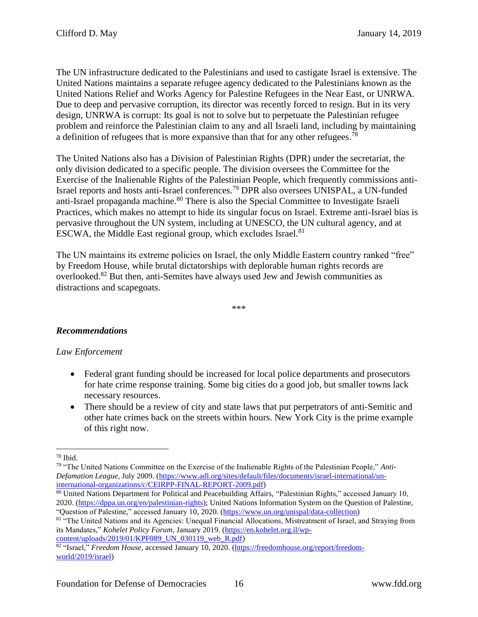The UN infrastructure dedicated to the Palestinians and used to castigate Israel is extensive. The United Nations maintains a separate refugee agency dedicated to the Palestinians known as the United Nations Relief and Works Agency for Palestine Refugees in the Near East, or UNRWA. Due to deep and pervasive corruption, its director was recently forced to resign. But in its very design, UNRWA is corrupt: Its goal is not to solve but to perpetuate the Palestinian refugee problem and reinforce the Palestinian claim to any and all Israeli land, including by maintaining a definition of refugees that is more expansive than that for any other refugees.<sup>78</sup>

The United Nations also has a Division of Palestinian Rights (DPR) under the secretariat, the only division dedicated to a specific people. The division oversees the Committee for the Exercise of the Inalienable Rights of the Palestinian People, which frequently commissions anti-Israel reports and hosts anti-Israel conferences.<sup>79</sup> DPR also oversees UNISPAL, a UN-funded anti-Israel propaganda machine.<sup>80</sup> There is also the Special Committee to Investigate Israeli Practices, which makes no attempt to hide its singular focus on Israel. Extreme anti-Israel bias is pervasive throughout the UN system, including at UNESCO, the UN cultural agency, and at ESCWA, the Middle East regional group, which excludes Israel.<sup>81</sup>

The UN maintains its extreme policies on Israel, the only Middle Eastern country ranked "free" by Freedom House, while brutal dictatorships with deplorable human rights records are overlooked.<sup>82</sup> But then, anti-Semites have always used Jew and Jewish communities as distractions and scapegoats.

\*\*\*

#### *Recommendations*

#### *Law Enforcement*

- Federal grant funding should be increased for local police departments and prosecutors for hate crime response training. Some big cities do a good job, but smaller towns lack necessary resources.
- There should be a review of city and state laws that put perpetrators of anti-Semitic and other hate crimes back on the streets within hours. New York City is the prime example of this right now.

 $\overline{a}$ 

80 United Nations Department for Political and Peacebuilding Affairs, "Palestinian Rights," accessed January 10, 2020. [\(https://dppa.un.org/en/palestinian-rights\)](https://dppa.un.org/en/palestinian-rights); United Nations Information System on the Question of Palestine, "Question of Palestine," accessed January 10, 2020. [\(https://www.un.org/unispal/data-collection\)](https://www.un.org/unispal/data-collection/)

<sup>78</sup> Ibid.

<sup>79</sup> "The United Nations Committee on the Exercise of the Inalienable Rights of the Palestinian People," *Anti-Defamation League*, July 2009. [\(https://www.adl.org/sites/default/files/documents/israel-international/un](https://www.adl.org/sites/default/files/documents/israel-international/un-international-organizations/c/CEIRPP-FINAL-REPORT-2009.pdf)[international-organizations/c/CEIRPP-FINAL-REPORT-2009.pdf\)](https://www.adl.org/sites/default/files/documents/israel-international/un-international-organizations/c/CEIRPP-FINAL-REPORT-2009.pdf)

<sup>81 &</sup>quot;The United Nations and its Agencies: Unequal Financial Allocations, Mistreatment of Israel, and Straying from its Mandates," *Kohelet Policy Forum*, January 2019. [\(https://en.kohelet.org.il/wp](https://en.kohelet.org.il/wp-content/uploads/2019/01/KPF089_UN_030119_web_R.pdf)[content/uploads/2019/01/KPF089\\_UN\\_030119\\_web\\_R.pdf\)](https://en.kohelet.org.il/wp-content/uploads/2019/01/KPF089_UN_030119_web_R.pdf)

<sup>82</sup> "Israel," *Freedom House*, accessed January 10, 2020. [\(https://freedomhouse.org/report/freedom](https://freedomhouse.org/report/freedom-world/2019/israel)[world/2019/israel\)](https://freedomhouse.org/report/freedom-world/2019/israel)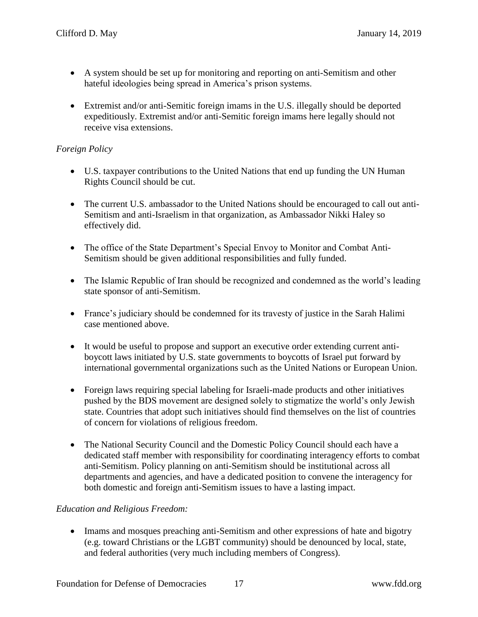- A system should be set up for monitoring and reporting on anti-Semitism and other hateful ideologies being spread in America's prison systems.
- Extremist and/or anti-Semitic foreign imams in the U.S. illegally should be deported expeditiously. Extremist and/or anti-Semitic foreign imams here legally should not receive visa extensions.

#### *Foreign Policy*

- U.S. taxpayer contributions to the United Nations that end up funding the UN Human Rights Council should be cut.
- The current U.S. ambassador to the United Nations should be encouraged to call out anti-Semitism and anti-Israelism in that organization, as Ambassador Nikki Haley so effectively did.
- The office of the State Department's Special Envoy to Monitor and Combat Anti-Semitism should be given additional responsibilities and fully funded.
- The Islamic Republic of Iran should be recognized and condemned as the world's leading state sponsor of anti-Semitism.
- France's judiciary should be condemned for its travesty of justice in the Sarah Halimi case mentioned above.
- It would be useful to propose and support an executive order extending current antiboycott laws initiated by U.S. state governments to boycotts of Israel put forward by international governmental organizations such as the United Nations or European Union.
- Foreign laws requiring special labeling for Israeli-made products and other initiatives pushed by the BDS movement are designed solely to stigmatize the world's only Jewish state. Countries that adopt such initiatives should find themselves on the list of countries of concern for violations of religious freedom.
- The National Security Council and the Domestic Policy Council should each have a dedicated staff member with responsibility for coordinating interagency efforts to combat anti-Semitism. Policy planning on anti-Semitism should be institutional across all departments and agencies, and have a dedicated position to convene the interagency for both domestic and foreign anti-Semitism issues to have a lasting impact.

#### *Education and Religious Freedom:*

• Imams and mosques preaching anti-Semitism and other expressions of hate and bigotry (e.g. toward Christians or the LGBT community) should be denounced by local, state, and federal authorities (very much including members of Congress).